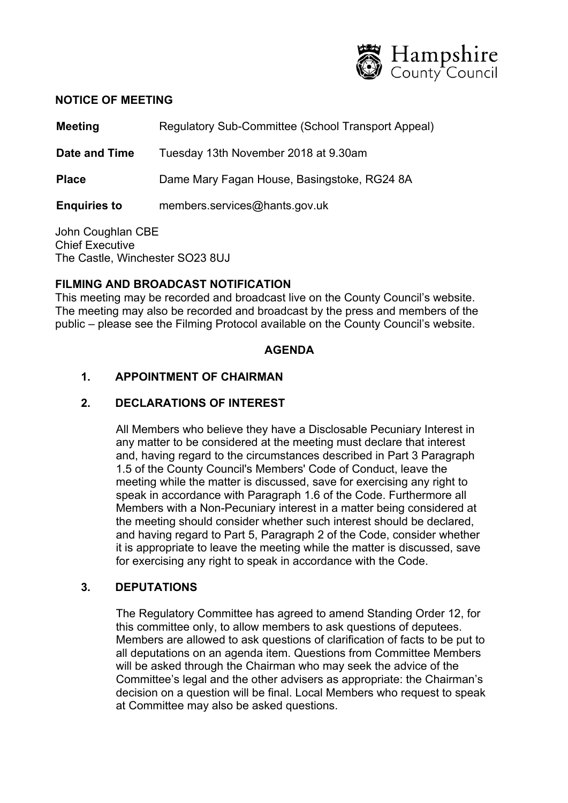

#### **NOTICE OF MEETING**

**Meeting Regulatory Sub-Committee (School Transport Appeal)** 

**Date and Time** Tuesday 13th November 2018 at 9.30am

**Place** Dame Mary Fagan House, Basingstoke, RG24 8A

**Enquiries to** members.services@hants.gov.uk

John Coughlan CBE Chief Executive The Castle, Winchester SO23 8UJ

### **FILMING AND BROADCAST NOTIFICATION**

This meeting may be recorded and broadcast live on the County Council's website. The meeting may also be recorded and broadcast by the press and members of the public – please see the Filming Protocol available on the County Council's website.

### **AGENDA**

# **1. APPOINTMENT OF CHAIRMAN**

### **2. DECLARATIONS OF INTEREST**

All Members who believe they have a Disclosable Pecuniary Interest in any matter to be considered at the meeting must declare that interest and, having regard to the circumstances described in Part 3 Paragraph 1.5 of the County Council's Members' Code of Conduct, leave the meeting while the matter is discussed, save for exercising any right to speak in accordance with Paragraph 1.6 of the Code. Furthermore all Members with a Non-Pecuniary interest in a matter being considered at the meeting should consider whether such interest should be declared, and having regard to Part 5, Paragraph 2 of the Code, consider whether it is appropriate to leave the meeting while the matter is discussed, save for exercising any right to speak in accordance with the Code.

### **3. DEPUTATIONS**

The Regulatory Committee has agreed to amend Standing Order 12, for this committee only, to allow members to ask questions of deputees. Members are allowed to ask questions of clarification of facts to be put to all deputations on an agenda item. Questions from Committee Members will be asked through the Chairman who may seek the advice of the Committee's legal and the other advisers as appropriate: the Chairman's decision on a question will be final. Local Members who request to speak at Committee may also be asked questions.